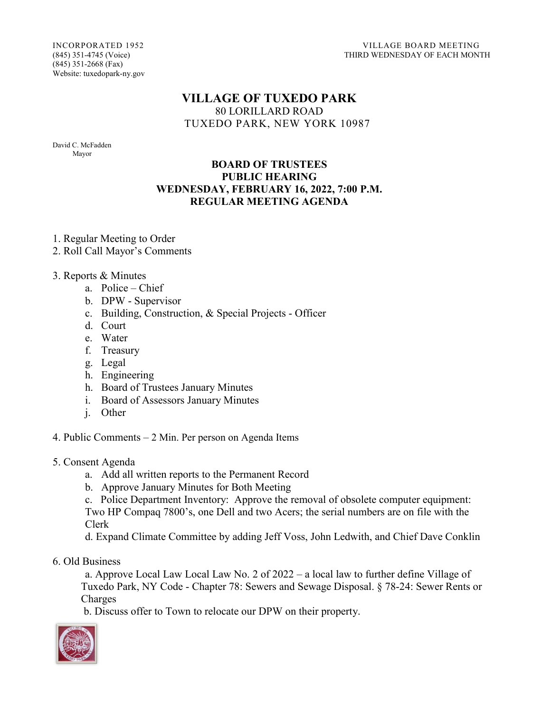INCORPORATED 1952 VILLAGE BOARD MEETING THIRD WEDNESDAY OF EACH MONTH

(845) 351-2668 (Fax) Website: tuxedopark-ny.gov

## **VILLAGE OF TUXEDO PARK** 80 LORILLARD ROAD TUXEDO PARK, NEW YORK 10987

David C. McFadden Mayor

## **BOARD OF TRUSTEES PUBLIC HEARING WEDNESDAY, FEBRUARY 16, 2022, 7:00 P.M. REGULAR MEETING AGENDA**

1. Regular Meeting to Order

2. Roll Call Mayor's Comments

3. Reports & Minutes

- a. Police Chief
- b. DPW Supervisor
- c. Building, Construction, & Special Projects Officer
- d. Court
- e. Water
- f. Treasury
- g. Legal
- h. Engineering
- h. Board of Trustees January Minutes
- i. Board of Assessors January Minutes
- j. Other

4. Public Comments – 2 Min. Per person on Agenda Items

- 5. Consent Agenda
	- a. Add all written reports to the Permanent Record
	- b. Approve January Minutes for Both Meeting

c. Police Department Inventory: Approve the removal of obsolete computer equipment: Two HP Compaq 7800's, one Dell and two Acers; the serial numbers are on file with the Clerk

d. Expand Climate Committee by adding Jeff Voss, John Ledwith, and Chief Dave Conklin

6. Old Business

a. Approve Local Law Local Law No. 2 of 2022 – a local law to further define Village of Tuxedo Park, NY Code - Chapter 78: Sewers and Sewage Disposal. § 78-24: Sewer Rents or Charges

b. Discuss offer to Town to relocate our DPW on their property.